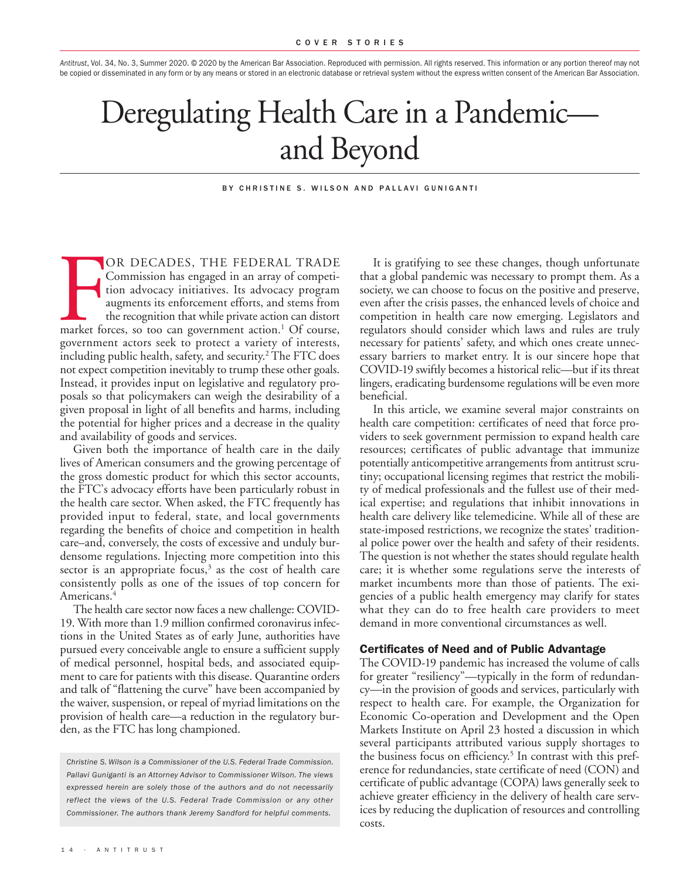*Antitrust*, Vol. 34, No. 3, Summer 2020. © 2020 by the American Bar Association. Reproduced with permission. All rights reserved. This information or any portion thereof may not be copied or disseminated in any form or by any means or stored in an electronic database or retrieval system without the express written consent of the American Bar Association.

# Deregulating Health Care in a Pandemic and Beyond

#### BY CHRISTINE S. WILSON AND PALLAVI GUNIGANTI

OR DECADES, THE FEDERAL TRADE<br>Commission has engaged in an array of competi-<br>tion advocacy initiatives. Its advocacy program<br>augments its enforcement efforts, and stems from<br>the recognition that while private action can di OR DECADES, THE FEDERAL TRADE Commission has engaged in an array of competition advocacy initiatives. Its advocacy program augments its enforcement efforts, and stems from the recognition that while private action can distort government actors seek to protect a variety of interests, including public health, safety, and security. <sup>2</sup> The FTC does not expect competition inevitably to trump these other goals. Instead, it provides input on legislative and regulatory proposals so that policymakers can weigh the desirability of a given proposal in light of all benefits and harms, including the potential for higher prices and a decrease in the quality and availability of goods and services.

Given both the importance of health care in the daily lives of American consumers and the growing percentage of the gross domestic product for which this sector accounts, the FTC's advocacy efforts have been particularly robust in the health care sector. When asked, the FTC frequently has provided input to federal, state, and local governments regarding the benefits of choice and competition in health care–and, conversely, the costs of excessive and unduly burdensome regulations. Injecting more competition into this sector is an appropriate focus, <sup>3</sup> as the cost of health care consistently polls as one of the issues of top concern for Americans. 4

The health care sector now faces a new challenge: COVID-19. With more than 1.9 million confirmed coronavirus infections in the United States as of early June, authorities have pursued every conceivable angle to ensure a sufficient supply of medical personnel, hospital beds, and associated equipment to care for patients with this disease. Quarantine orders and talk of "flattening the curve" have been accompanied by the waiver, suspension, or repeal of myriad limitations on the provision of health care—a reduction in the regulatory burden, as the FTC has long championed.

*Christine S. Wilson is a Commissioner of the U.S. Federal Trade Commission. Pallavi Guniganti is an Attorney Advisor to Commissioner Wilson. The views expressed herein are solely those of the authors and do not necessarily reflect the views of the U.S. Federal Trade Commission or any other Commissioner. The authors thank Jeremy Sandford for helpful comments.*

It is gratifying to see these changes, though unfortunate that a global pandemic was necessary to prompt them. As a society, we can choose to focus on the positive and preserve, even after the crisis passes, the enhanced levels of choice and competition in health care now emerging. Legislators and regulators should consider which laws and rules are truly necessary for patients' safety, and which ones create unnecessary barriers to market entry. It is our sincere hope that COVID-19 swiftly becomes a historical relic––but if its threat lingers, eradicating burdensome regulations will be even more beneficial.

In this article, we examine several major constraints on health care competition: certificates of need that force providers to seek government permission to expand health care resources; certificates of public advantage that immunize potentially anticompetitive arrangements from antitrust scrutiny; occupational licensing regimes that restrict the mobility of medical professionals and the fullest use of their medical expertise; and regulations that inhibit innovations in health care delivery like telemedicine. While all of these are state-imposed restrictions, we recognize the states' traditional police power over the health and safety of their residents. The question is not whether the states should regulate health care; it is whether some regulations serve the interests of market incumbents more than those of patients. The exigencies of a public health emergency may clarify for states what they can do to free health care providers to meet demand in more conventional circumstances as well.

## **Certificates of Need and of Public Advantage**

The COVID-19 pandemic has increased the volume of calls for greater "resiliency"—typically in the form of redundancy—in the provision of goods and services, particularly with respect to health care. For example, the Organization for Economic Co-operation and Development and the Open Markets Institute on April 23 hosted a discussion in which several participants attributed various supply shortages to the business focus on efficiency. <sup>5</sup> In contrast with this preference for redundancies, state certificate of need (CON) and certificate of public advantage (COPA) laws generally seek to achieve greater efficiency in the delivery of health care services by reducing the duplication of resources and controlling costs.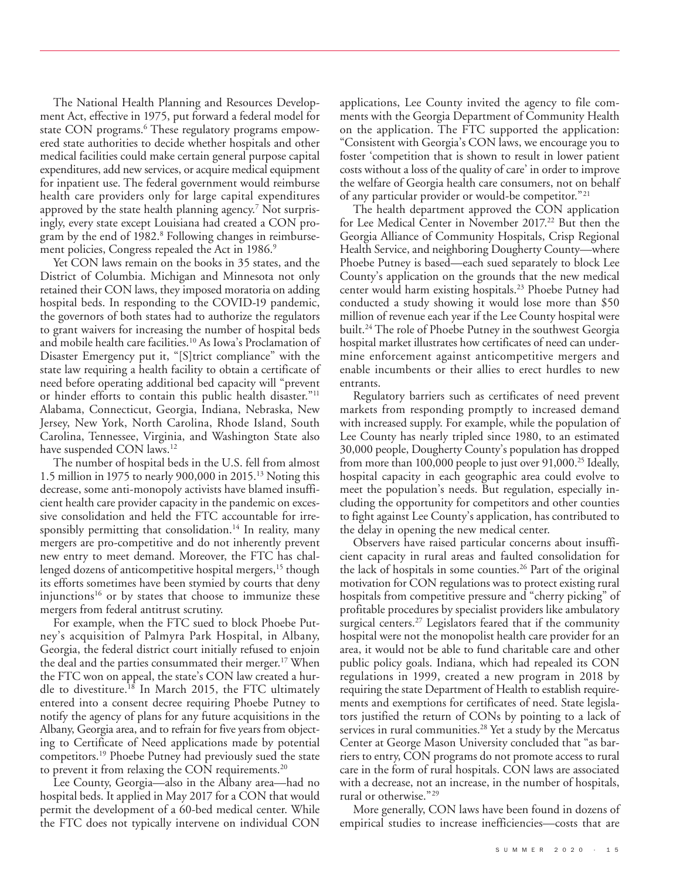The National Health Planning and Resources Development Act, effective in 1975, put forward a federal model for state CON programs. <sup>6</sup> These regulatory programs empowered state authorities to decide whether hospitals and other medical facilities could make certain general purpose capital expenditures, add new services, or acquire medical equipment for inpatient use. The federal government would reimburse health care providers only for large capital expenditures approved by the state health planning agency. <sup>7</sup> Not surprisingly, every state except Louisiana had created a CON program by the end of 1982. <sup>8</sup> Following changes in reimbursement policies, Congress repealed the Act in 1986. 9

Yet CON laws remain on the books in 35 states, and the District of Columbia. Michigan and Minnesota not only retained their CON laws, they imposed moratoria on adding hospital beds. In responding to the COVID-19 pandemic, the governors of both states had to authorize the regulators to grant waivers for increasing the number of hospital beds and mobile health care facilities. <sup>10</sup> As Iowa's Proclamation of Disaster Emergency put it, "[S]trict compliance" with the state law requiring a health facility to obtain a certificate of need before operating additional bed capacity will "prevent or hinder efforts to contain this public health disaster."<sup>11</sup> Alabama, Connecticut, Georgia, Indiana, Nebraska, New Jersey, New York, North Carolina, Rhode Island, South Carolina, Tennessee, Virginia, and Washington State also have suspended CON laws. 12

The number of hospital beds in the U.S. fell from almost 1.5 million in 1975 to nearly 900,000 in 2015. <sup>13</sup> Noting this decrease, some anti-monopoly activists have blamed insufficient health care provider capacity in the pandemic on excessive consolidation and held the FTC accountable for irresponsibly permitting that consolidation. <sup>14</sup> In reality, many mergers are pro-competitive and do not inherently prevent new entry to meet demand. Moreover, the FTC has challenged dozens of anticompetitive hospital mergers, <sup>15</sup> though its efforts sometimes have been stymied by courts that deny injunctions<sup>16</sup> or by states that choose to immunize these mergers from federal antitrust scrutiny.

For example, when the FTC sued to block Phoebe Putney's acquisition of Palmyra Park Hospital, in Albany, Georgia, the federal district court initially refused to enjoin the deal and the parties consummated their merger. <sup>17</sup> When the FTC won on appeal, the state's CON law created a hurdle to divestiture. <sup>18</sup> In March 2015, the FTC ultimately entered into a consent decree requiring Phoebe Putney to notify the agency of plans for any future acquisitions in the Albany, Georgia area, and to refrain for five years from objecting to Certificate of Need applications made by potential competitors. <sup>19</sup> Phoebe Putney had previously sued the state to prevent it from relaxing the CON requirements. 20

Lee County, Georgia—also in the Albany area—had no hospital beds. It applied in May 2017 for a CON that would permit the development of a 60-bed medical center. While the FTC does not typically intervene on individual CON

applications, Lee County invited the agency to file comments with the Georgia Department of Community Health on the application. The FTC supported the application: "Consistent with Georgia's CON laws, we encourage you to foster 'competition that is shown to result in lower patient costs without a loss of the quality of care' in order to improve the welfare of Georgia health care consumers, not on behalf of any particular provider or would-be competitor."21

The health department approved the CON application for Lee Medical Center in November 2017.<sup>22</sup> But then the Georgia Alliance of Community Hospitals, Crisp Regional Health Service, and neighboring Dougherty County—where Phoebe Putney is based––each sued separately to block Lee County's application on the grounds that the new medical center would harm existing hospitals. <sup>23</sup> Phoebe Putney had conducted a study showing it would lose more than \$50 million of revenue each year if the Lee County hospital were built. <sup>24</sup> The role of Phoebe Putney in the southwest Georgia hospital market illustrates how certificates of need can undermine enforcement against anticompetitive mergers and enable incumbents or their allies to erect hurdles to new entrants.

Regulatory barriers such as certificates of need prevent markets from responding promptly to increased demand with increased supply. For example, while the population of Lee County has nearly tripled since 1980, to an estimated 30,000 people, Dougherty County's population has dropped from more than 100,000 people to just over 91,000. <sup>25</sup> Ideally, hospital capacity in each geographic area could evolve to meet the population's needs. But regulation, especially including the opportunity for competitors and other counties to fight against Lee County's application, has contributed to the delay in opening the new medical center.

Observers have raised particular concerns about insufficient capacity in rural areas and faulted consolidation for the lack of hospitals in some counties. <sup>26</sup> Part of the original motivation for CON regulations was to protect existing rural hospitals from competitive pressure and "cherry picking" of profitable procedures by specialist providers like ambulatory surgical centers.<sup>27</sup> Legislators feared that if the community hospital were not the monopolist health care provider for an area, it would not be able to fund charitable care and other public policy goals. Indiana, which had repealed its CON regulations in 1999, created a new program in 2018 by requiring the state Department of Health to establish requirements and exemptions for certificates of need. State legislators justified the return of CONs by pointing to a lack of services in rural communities. <sup>28</sup> Yet a study by the Mercatus Center at George Mason University concluded that "as barriers to entry, CON programs do not promote access to rural care in the form of rural hospitals. CON laws are associated with a decrease, not an increase, in the number of hospitals, rural or otherwise."29

More generally, CON laws have been found in dozens of empirical studies to increase inefficiencies—costs that are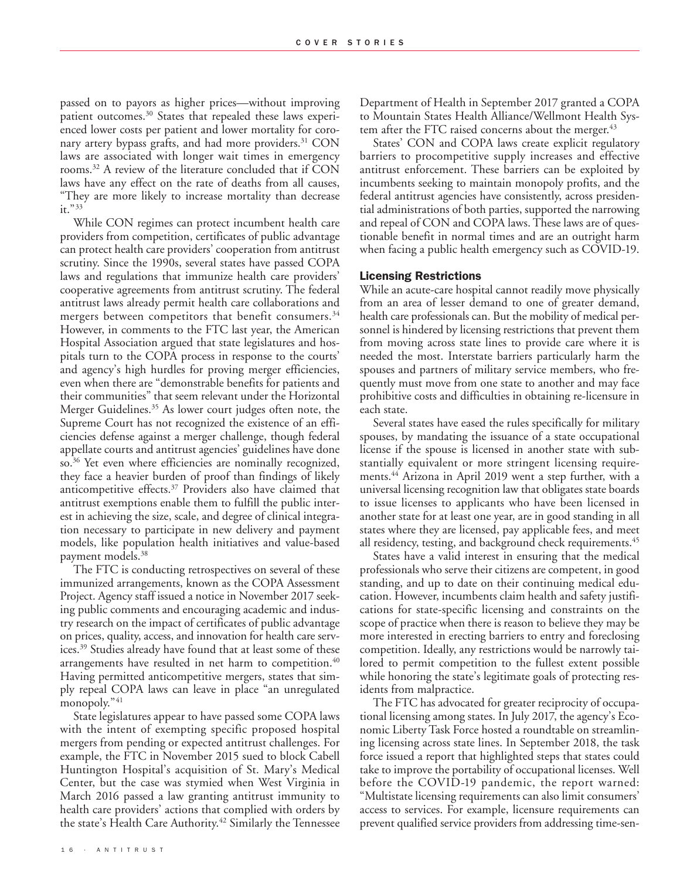passed on to payors as higher prices—without improving patient outcomes. <sup>30</sup> States that repealed these laws experienced lower costs per patient and lower mortality for coronary artery bypass grafts, and had more providers. <sup>31</sup> CON laws are associated with longer wait times in emergency rooms. <sup>32</sup> A review of the literature concluded that if CON laws have any effect on the rate of deaths from all causes, "They are more likely to increase mortality than decrease it."33

While CON regimes can protect incumbent health care providers from competition, certificates of public advantage can protect health care providers' cooperation from antitrust scrutiny. Since the 1990s, several states have passed COPA laws and regulations that immunize health care providers' cooperative agreements from antitrust scrutiny. The federal antitrust laws already permit health care collaborations and mergers between competitors that benefit consumers. 34 However, in comments to the FTC last year, the American Hospital Association argued that state legislatures and hospitals turn to the COPA process in response to the courts' and agency's high hurdles for proving merger efficiencies, even when there are "demonstrable benefits for patients and their communities" that seem relevant under the Horizontal Merger Guidelines. <sup>35</sup> As lower court judges often note, the Supreme Court has not recognized the existence of an efficiencies defense against a merger challenge, though federal appellate courts and antitrust agencies' guidelines have done so. <sup>36</sup> Yet even where efficiencies are nominally recognized, they face a heavier burden of proof than findings of likely anticompetitive effects. <sup>37</sup> Providers also have claimed that antitrust exemptions enable them to fulfill the public interest in achieving the size, scale, and degree of clinical integration necessary to participate in new delivery and payment models, like population health initiatives and value-based payment models. 38

The FTC is conducting retrospectives on several of these immunized arrangements, known as the COPA Assessment Project. Agency staff issued a notice in November 2017 seeking public comments and encouraging academic and industry research on the impact of certificates of public advantage on prices, quality, access, and innovation for health care services. <sup>39</sup> Studies already have found that at least some of these arrangements have resulted in net harm to competition. 40 Having permitted anticompetitive mergers, states that simply repeal COPA laws can leave in place "an unregulated monopoly."41

State legislatures appear to have passed some COPA laws with the intent of exempting specific proposed hospital mergers from pending or expected antitrust challenges. For example, the FTC in November 2015 sued to block Cabell Huntington Hospital's acquisition of St. Mary's Medical Center, but the case was stymied when West Virginia in March 2016 passed a law granting antitrust immunity to health care providers' actions that complied with orders by the state's Health Care Authority. <sup>42</sup> Similarly the Tennessee

Department of Health in September 2017 granted a COPA to Mountain States Health Alliance/Wellmont Health System after the FTC raised concerns about the merger. 43

States' CON and COPA laws create explicit regulatory barriers to procompetitive supply increases and effective antitrust enforcement. These barriers can be exploited by incumbents seeking to maintain monopoly profits, and the federal antitrust agencies have consistently, across presidential administrations of both parties, supported the narrowing and repeal of CON and COPA laws. These laws are of questionable benefit in normal times and are an outright harm when facing a public health emergency such as COVID-19.

## **Licensing Restrictions**

While an acute-care hospital cannot readily move physically from an area of lesser demand to one of greater demand, health care professionals can. But the mobility of medical personnel is hindered by licensing restrictions that prevent them from moving across state lines to provide care where it is needed the most. Interstate barriers particularly harm the spouses and partners of military service members, who frequently must move from one state to another and may face prohibitive costs and difficulties in obtaining re-licensure in each state.

Several states have eased the rules specifically for military spouses, by mandating the issuance of a state occupational license if the spouse is licensed in another state with substantially equivalent or more stringent licensing requirements. <sup>44</sup> Arizona in April 2019 went a step further, with a universal licensing recognition law that obligates state boards to issue licenses to applicants who have been licensed in another state for at least one year, are in good standing in all states where they are licensed, pay applicable fees, and meet all residency, testing, and background check requirements. 45

States have a valid interest in ensuring that the medical professionals who serve their citizens are competent, in good standing, and up to date on their continuing medical education. However, incumbents claim health and safety justifications for state-specific licensing and constraints on the scope of practice when there is reason to believe they may be more interested in erecting barriers to entry and foreclosing competition. Ideally, any restrictions would be narrowly tailored to permit competition to the fullest extent possible while honoring the state's legitimate goals of protecting residents from malpractice.

The FTC has advocated for greater reciprocity of occupational licensing among states. In July 2017, the agency's Economic Liberty Task Force hosted a roundtable on streamlining licensing across state lines. In September 2018, the task force issued a report that highlighted steps that states could take to improve the portability of occupational licenses. Well before the COVID-19 pandemic, the report warned: "Multistate licensing requirements can also limit consumers' access to services. For example, licensure requirements can prevent qualified service providers from addressing time-sen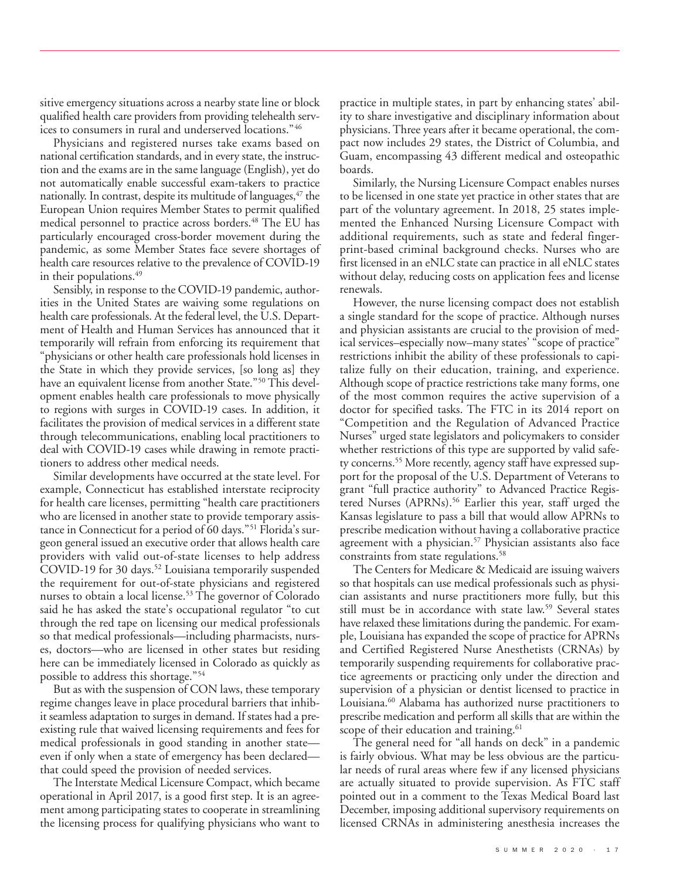sitive emergency situations across a nearby state line or block qualified health care providers from providing telehealth services to consumers in rural and underserved locations."46

Physicians and registered nurses take exams based on national certification standards, and in every state, the instruction and the exams are in the same language (English), yet do not automatically enable successful exam-takers to practice nationally. In contrast, despite its multitude of languages, $47$  the European Union requires Member States to permit qualified medical personnel to practice across borders. <sup>48</sup> The EU has particularly encouraged cross-border movement during the pandemic, as some Member States face severe shortages of health care resources relative to the prevalence of COVID-19 in their populations. 49

Sensibly, in response to the COVID-19 pandemic, authorities in the United States are waiving some regulations on health care professionals. At the federal level, the U.S. Department of Health and Human Services has announced that it temporarily will refrain from enforcing its requirement that "physicians or other health care professionals hold licenses in the State in which they provide services, [so long as] they have an equivalent license from another State."<sup>50</sup> This development enables health care professionals to move physically to regions with surges in COVID-19 cases. In addition, it facilitates the provision of medical services in a different state through telecommunications, enabling local practitioners to deal with COVID-19 cases while drawing in remote practitioners to address other medical needs.

Similar developments have occurred at the state level. For example, Connecticut has established interstate reciprocity for health care licenses, permitting "health care practitioners who are licensed in another state to provide temporary assistance in Connecticut for a period of 60 days."51 Florida's surgeon general issued an executive order that allows health care providers with valid out-of-state licenses to help address COVID-19 for 30 days. <sup>52</sup> Louisiana temporarily suspended the requirement for out-of-state physicians and registered nurses to obtain a local license. <sup>53</sup> The governor of Colorado said he has asked the state's occupational regulator "to cut through the red tape on licensing our medical professionals so that medical professionals—including pharmacists, nurses, doctors—who are licensed in other states but residing here can be immediately licensed in Colorado as quickly as possible to address this shortage."54

But as with the suspension of CON laws, these temporary regime changes leave in place procedural barriers that inhibit seamless adaptation to surges in demand. If states had a preexisting rule that waived licensing requirements and fees for medical professionals in good standing in another state even if only when a state of emergency has been declared that could speed the provision of needed services.

The Interstate Medical Licensure Compact, which became operational in April 2017, is a good first step. It is an agreement among participating states to cooperate in streamlining the licensing process for qualifying physicians who want to

practice in multiple states, in part by enhancing states' ability to share investigative and disciplinary information about physicians. Three years after it became operational, the compact now includes 29 states, the District of Columbia, and Guam, encompassing 43 different medical and osteopathic boards.

Similarly, the Nursing Licensure Compact enables nurses to be licensed in one state yet practice in other states that are part of the voluntary agreement. In 2018, 25 states implemented the Enhanced Nursing Licensure Compact with additional requirements, such as state and federal fingerprint-based criminal background checks. Nurses who are first licensed in an eNLC state can practice in all eNLC states without delay, reducing costs on application fees and license renewals.

However, the nurse licensing compact does not establish a single standard for the scope of practice. Although nurses and physician assistants are crucial to the provision of medical services–especially now–many states' "scope of practice" restrictions inhibit the ability of these professionals to capitalize fully on their education, training, and experience. Although scope of practice restrictions take many forms, one of the most common requires the active supervision of a doctor for specified tasks. The FTC in its 2014 report on "Competition and the Regulation of Advanced Practice Nurses" urged state legislators and policymakers to consider whether restrictions of this type are supported by valid safety concerns. <sup>55</sup> More recently, agency staff have expressed support for the proposal of the U.S. Department of Veterans to grant "full practice authority" to Advanced Practice Registered Nurses (APRNs). <sup>56</sup> Earlier this year, staff urged the Kansas legislature to pass a bill that would allow APRNs to prescribe medication without having a collaborative practice agreement with a physician. <sup>57</sup> Physician assistants also face constraints from state regulations. 58

The Centers for Medicare & Medicaid are issuing waivers so that hospitals can use medical professionals such as physician assistants and nurse practitioners more fully, but this still must be in accordance with state law. <sup>59</sup> Several states have relaxed these limitations during the pandemic. For example, Louisiana has expanded the scope of practice for APRNs and Certified Registered Nurse Anesthetists (CRNAs) by temporarily suspending requirements for collaborative practice agreements or practicing only under the direction and supervision of a physician or dentist licensed to practice in Louisiana. <sup>60</sup> Alabama has authorized nurse practitioners to prescribe medication and perform all skills that are within the scope of their education and training.<sup>61</sup>

The general need for "all hands on deck" in a pandemic is fairly obvious. What may be less obvious are the particular needs of rural areas where few if any licensed physicians are actually situated to provide supervision. As FTC staff pointed out in a comment to the Texas Medical Board last December, imposing additional supervisory requirements on licensed CRNAs in administering anesthesia increases the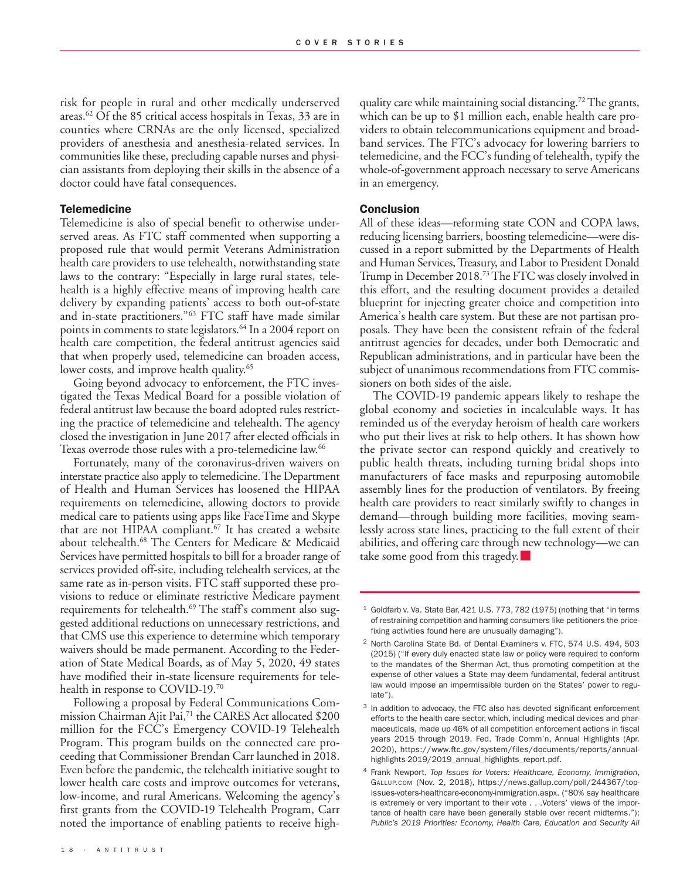risk for people in rural and other medically underserved areas. <sup>62</sup> Of the 85 critical access hospitals in Texas, 33 are in counties where CRNAs are the only licensed, specialized providers of anesthesia and anesthesia-related services. In communities like these, precluding capable nurses and physician assistants from deploying their skills in the absence of a doctor could have fatal consequences.

#### **Telemedicine**

Telemedicine is also of special benefit to otherwise underserved areas. As FTC staff commented when supporting a proposed rule that would permit Veterans Administration health care providers to use telehealth, notwithstanding state laws to the contrary: "Especially in large rural states, telehealth is a highly effective means of improving health care delivery by expanding patients' access to both out-of-state and in-state practitioners."63 FTC staff have made similar points in comments to state legislators. <sup>64</sup> In a 2004 report on health care competition, the federal antitrust agencies said that when properly used, telemedicine can broaden access, lower costs, and improve health quality. 65

Going beyond advocacy to enforcement, the FTC investigated the Texas Medical Board for a possible violation of federal antitrust law because the board adopted rules restricting the practice of telemedicine and telehealth. The agency closed the investigation in June 2017 after elected officials in Texas overrode those rules with a pro-telemedicine law. 66

Fortunately, many of the coronavirus-driven waivers on interstate practice also apply to telemedicine.The Department of Health and Human Services has loosened the HIPAA requirements on telemedicine, allowing doctors to provide medical care to patients using apps like FaceTime and Skype that are not HIPAA compliant. <sup>67</sup> It has created a website about telehealth. <sup>68</sup> The Centers for Medicare & Medicaid Services have permitted hospitals to bill for a broader range of services provided off-site, including telehealth services, at the same rate as in-person visits. FTC staff supported these provisions to reduce or eliminate restrictive Medicare payment requirements for telehealth. <sup>69</sup> The staff's comment also suggested additional reductions on unnecessary restrictions, and that CMS use this experience to determine which temporary waivers should be made permanent. According to the Federation of State Medical Boards, as of May 5, 2020, 49 states have modified their in-state licensure requirements for telehealth in response to COVID-19. 70

Following a proposal by Federal Communications Commission Chairman Ajit Pai, <sup>71</sup> the CARES Act allocated \$200 million for the FCC's Emergency COVID-19 Telehealth Program. This program builds on the connected care proceeding that Commissioner Brendan Carr launched in 2018. Even before the pandemic, the telehealth initiative sought to lower health care costs and improve outcomes for veterans, low-income, and rural Americans. Welcoming the agency's first grants from the COVID-19 Telehealth Program, Carr noted the importance of enabling patients to receive highquality care while maintaining social distancing. 72The grants, which can be up to \$1 million each, enable health care providers to obtain telecommunications equipment and broadband services. The FTC's advocacy for lowering barriers to telemedicine, and the FCC's funding of telehealth, typify the whole-of-government approach necessary to serve Americans in an emergency.

### **Conclusion**

All of these ideas—reforming state CON and COPA laws, reducing licensing barriers, boosting telemedicine—were discussed in a report submitted by the Departments of Health and Human Services, Treasury, and Labor to President Donald Trump in December 2018. 73The FTC was closely involved in this effort, and the resulting document provides a detailed blueprint for injecting greater choice and competition into America's health care system. But these are not partisan proposals. They have been the consistent refrain of the federal antitrust agencies for decades, under both Democratic and Republican administrations, and in particular have been the subject of unanimous recommendations from FTC commissioners on both sides of the aisle.

The COVID-19 pandemic appears likely to reshape the global economy and societies in incalculable ways. It has reminded us of the everyday heroism of health care workers who put their lives at risk to help others. It has shown how the private sector can respond quickly and creatively to public health threats, including turning bridal shops into manufacturers of face masks and repurposing automobile assembly lines for the production of ventilators. By freeing health care providers to react similarly swiftly to changes in demand—through building more facilities, moving seamlessly across state lines, practicing to the full extent of their abilities, and offering care through new technology—we can take some good from this tragedy.

<sup>1</sup> Goldfarb v. Va. State Bar, 421 U.S. 773, 782 (1975) (nothing that "in terms of restraining competition and harming consumers like petitioners the pricefixing activities found here are unusually damaging").

<sup>2</sup> North Carolina State Bd. of Dental Examiners v. FTC, 574 U.S. 494, 503 (2015) ("If every duly enacted state law or policy were required to conform to the mandates of the Sherman Act, thus promoting competition at the expense of other values a State may deem fundamental, federal antitrust law would impose an impermissible burden on the States' power to regulate").

<sup>&</sup>lt;sup>3</sup> In addition to advocacy, the FTC also has devoted significant enforcement efforts to the health care sector, which, including medical devices and pharmaceuticals, made up 46% of all competition enforcement actions in fiscal years 2015 through 2019. Fed. Trade Comm'n, Annual Highlights (Apr. 2020), https://www.ftc.gov/system/files/documents/reports/annualhighlights-2019/2019\_annual\_highlights\_report.pdf.

<sup>4</sup> Frank Newport, *Top Issues for Voters: Healthcare, Economy, Immigration*, GALLUP.COM (Nov. 2, 2018), https://news.gallup.com/poll/244367/topissues-voters-healthcare-economy-immigration.aspx. ("80% say healthcare is extremely or very important to their vote . . . Voters' views of the importance of health care have been generally stable over recent midterms."); *Public's 2019 Priorities: Economy, Health Care, Education and Security All*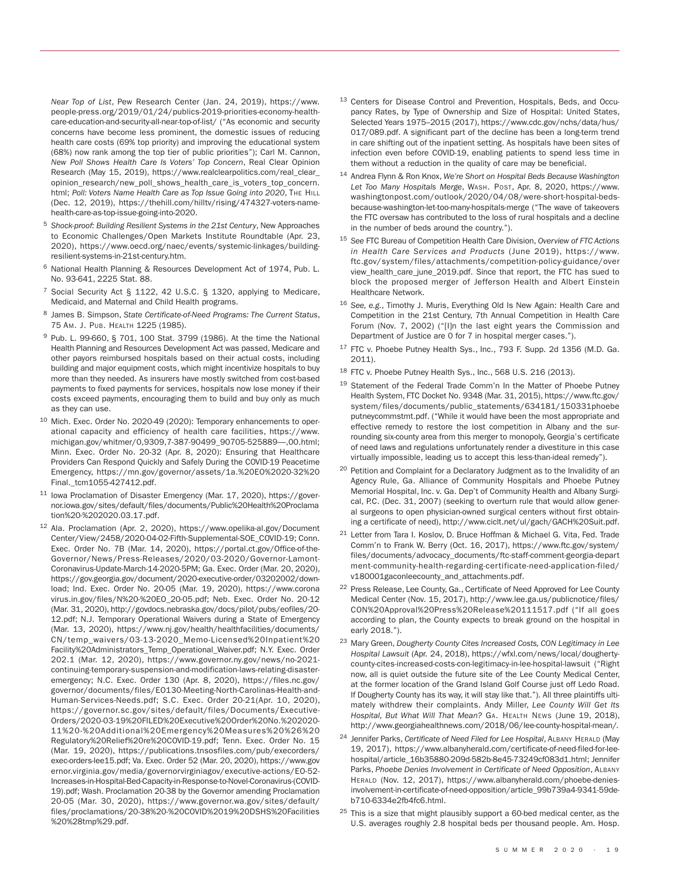*Near Top of List*, Pew Research Center (Jan. 24, 2019), https://www. people-press.org/2019/01/24/publics-2019-priorities-economy-healthcare-education-and-security-all-near-top-of-list/ ("As economic and security concerns have become less prominent, the domestic issues of reducing health care costs (69% top priority) and improving the educational system (68%) now rank among the top tier of public priorities"); Carl M. Cannon, *New Poll Shows Health Care Is Voters' Top Concern*, Real Clear Opinion Research (May 15, 2019), https://www.realclearpolitics.com/real\_clear\_ opinion\_research/new\_poll\_shows\_health\_care\_is\_voters\_top\_concern. html; *Poll: Voters Name Health Care as Top Issue Going into 2020*, THE HILL (Dec. 12, 2019), https://thehill.com/hilltv/rising/474327-voters-namehealth-care-as-top-issue-going-into-2020.

- <sup>5</sup> *Shock-proof: Building Resilient Systems in the 21st Century*, New Approaches to Economic Challenges/Open Markets Institute Roundtable (Apr. 23, 2020), https://www.oecd.org/naec/events/systemic-linkages/buildingresilient-systems-in-21st-century.htm.
- <sup>6</sup> National Health Planning & Resources Development Act of 1974, Pub. L. No. 93-641, 2225 Stat. 88.
- <sup>7</sup> Social Security Act § 1122, 42 U.S.C. § 1320, applying to Medicare, Medicaid, and Maternal and Child Health programs.
- <sup>8</sup> James B. Simpson, *State Certificate-of-Need Programs: The Current Status*, 75 AM. J. PUB. HEALTH 1225 (1985).
- <sup>9</sup> Pub. L. 99-660, § 701, 100 Stat. 3799 (1986). At the time the National Health Planning and Resources Development Act was passed, Medicare and other payors reimbursed hospitals based on their actual costs, including building and major equipment costs, which might incentivize hospitals to buy more than they needed. As insurers have mostly switched from cost-based payments to fixed payments for services, hospitals now lose money if their costs exceed payments, encouraging them to build and buy only as much as they can use.
- <sup>10</sup> Mich. Exec. Order No. 2020-49 (2020): Temporary enhancements to operational capacity and efficiency of health care facilities, https://www. michigan.gov/whitmer/0,9309,7-387-90499\_90705-525889—,00.html; Minn. Exec. Order No. 20-32 (Apr. 8, 2020): Ensuring that Healthcare Providers Can Respond Quickly and Safely During the COVID-19 Peacetime Emergency, https://mn.gov/governor/assets/1a.%20EO%2020-32%20 Final.\_tcm1055-427412.pdf.
- <sup>11</sup> Iowa Proclamation of Disaster Emergency (Mar. 17, 2020), https://governor.iowa.gov/sites/default/files/documents/Public%20Health%20Proclama tion%20-%202020.03.17.pdf.
- <sup>12</sup> Ala. Proclamation (Apr. 2, 2020), https://www.opelika-al.gov/Document Center/View/2458/2020-04-02-Fifth-Supplemental-SOE\_COVID-19; Conn. Exec. Order No. 7B (Mar. 14, 2020), https://portal.ct.gov/Office-of-the-Governor/News/Press-Releases/2020/03-2020/Governor-Lamont-Coronavirus-Update-March-14-2020-5PM; Ga. Exec. Order (Mar. 20, 2020), https://gov.georgia.gov/document/2020-executive-order/03202002/download; Ind. Exec. Order No. 20-05 (Mar. 19, 2020), https://www.corona virus.in.gov/files/N%20-%20EO\_20-05.pdf; Neb. Exec. Order No. 20-12 (Mar. 31, 2020), http://govdocs.nebraska.gov/docs/pilot/pubs/eofiles/20- 12.pdf; N.J. Temporary Operational Waivers during a State of Emergency (Mar. 13, 2020), https://www.nj.gov/health/healthfacilities/documents/ CN/temp\_waivers/03-13-2020\_Memo-Licensed%20Inpatient%20 Facility%20Administrators\_Temp\_Operational\_Waiver.pdf; N.Y. Exec. Order 202.1 (Mar. 12, 2020), https://www.governor.ny.gov/news/no-2021 continuing-temporary-suspension-and-modification-laws-relating-disasteremergency; N.C. Exec. Order 130 (Apr. 8, 2020), https://files.nc.gov/ governor/documents/files/EO130-Meeting-North-Carolinas-Health-and-Human-Services-Needs.pdf; S.C. Exec. Order 20-21(Apr. 10, 2020), https://governor.sc.gov/sites/default/files/Documents/Executive-Orders/2020-03-19%20FILED%20Executive%20Order%20No.%202020- 11%20-%20Additional%20Emergency%20Measures%20%26%20 Regulatory%20Relief%20re%20COVID-19.pdf; Tenn. Exec. Order No. 15 (Mar. 19, 2020), https://publications.tnsosfiles.com/pub/execorders/ exec-orders-lee15.pdf; Va. Exec. Order 52 (Mar. 20, 2020), https://www.gov ernor.virginia.gov/media/governorvirginiagov/executive-actions/EO-52- Increases-in-Hospital-Bed-Capacity-in-Response-to-Novel-Coronavirus-(COVID-19).pdf; Wash. Proclamation 20-38 by the Governor amending Proclamation 20-05 (Mar. 30, 2020), https://www.governor.wa.gov/sites/default/ files/proclamations/20-38%20-%20COVID%2019%20DSHS%20Facilities %20%28tmp%29.pdf.
- <sup>13</sup> Centers for Disease Control and Prevention, Hospitals, Beds, and Occupancy Rates, by Type of Ownership and Size of Hospital: United States, Selected Years 1975–2015 (2017), https://www.cdc.gov/nchs/data/hus/ 017/089.pdf. A significant part of the decline has been a long-term trend in care shifting out of the inpatient setting. As hospitals have been sites of infection even before COVID-19, enabling patients to spend less time in them without a reduction in the quality of care may be beneficial.
- <sup>14</sup> Andrea Flynn & Ron Knox, *We're Short on Hospital Beds Because Washington Let Too Many Hospitals Merge*, WASH. POST, Apr. 8, 2020, https://www. washingtonpost.com/outlook/2020/04/08/were-short-hospital-bedsbecause-washington-let-too-many-hospitals-merge ("The wave of takeovers the FTC oversaw has contributed to the loss of rural hospitals and a decline in the number of beds around the country.").
- <sup>15</sup> *See* FTC Bureau of Competition Health Care Division, *Overview of FTC Actions in Health Care Ser vices and Products* (June 2019), https://www. ftc.gov/system/files/attachments/competition-policy-guidance/over view\_health\_care\_june\_2019.pdf. Since that report, the FTC has sued to block the proposed merger of Jefferson Health and Albert Einstein Healthcare Network.
- <sup>16</sup> *See, e.g.*, Timothy J. Muris, Everything Old Is New Again: Health Care and Competition in the 21st Century, 7th Annual Competition in Health Care Forum (Nov. 7, 2002) ("[I]n the last eight years the Commission and Department of Justice are 0 for 7 in hospital merger cases.").
- <sup>17</sup> FTC v. Phoebe Putney Health Sys., Inc., 793 F. Supp. 2d 1356 (M.D. Ga. 2011).
- <sup>18</sup> FTC v. Phoebe Putney Health Sys., Inc., 568 U.S. 216 (2013).
- <sup>19</sup> Statement of the Federal Trade Comm'n In the Matter of Phoebe Putney Health System, FTC Docket No. 9348 (Mar. 31, 2015), https://www.ftc.gov/ system/files/documents/public\_statements/634181/150331phoebe putneycommstmt.pdf. ("While it would have been the most appropriate and effective remedy to restore the lost competition in Albany and the surrounding six-county area from this merger to monopoly, Georgia's certificate of need laws and regulations unfortunately render a divestiture in this case virtually impossible, leading us to accept this less-than-ideal remedy").
- <sup>20</sup> Petition and Complaint for a Declaratory Judgment as to the Invalidity of an Agency Rule, Ga. Alliance of Community Hospitals and Phoebe Putney Memorial Hospital, Inc. v. Ga. Dep't of Community Health and Albany Surgical, P.C. (Dec. 31, 2007) (seeking to overturn rule that would allow general surgeons to open physician-owned surgical centers without first obtaining a certificate of need), http://www.ciclt.net/ul/gach/GACH%20Suit.pdf.
- <sup>21</sup> Letter from Tara I. Koslov, D. Bruce Hoffman & Michael G. Vita, Fed. Trade Comm'n to Frank W. Berry (Oct. 16, 2017), https://www.ftc.gov/system/ files/documents/advocacy\_documents/ftc-staff-comment-georgia-depart ment-community-health-regarding-certificate-need-application-filed/ v180001gaconleecounty\_and\_attachments.pdf.
- <sup>22</sup> Press Release, Lee County, Ga., Certificate of Need Approved for Lee County Medical Center (Nov. 15, 2017), http://www.lee.ga.us/publicnotice/files/ CON%20Approval%20Press%20Release%20111517.pdf ("If all goes according to plan, the County expects to break ground on the hospital in early 2018.").
- <sup>23</sup> Mary Green, *Dougherty County Cites Increased Costs, CON Legitimacy in Lee Hospital Lawsuit* (Apr. 24, 2018), https://wfxl.com/news/local/doughertycounty-cites-increased-costs-con-legitimacy-in-lee-hospital-lawsuit ("Right now, all is quiet outside the future site of the Lee County Medical Center, at the former location of the Grand Island Golf Course just off Ledo Road. If Dougherty County has its way, it will stay like that."). All three plaintiffs ultimately withdrew their complaints. Andy Miller, *Lee County Will Get Its Hospital, But What Will That Mean?* GA. HEALTH NEWS (June 19, 2018), http://www.georgiahealthnews.com/2018/06/lee-county-hospital-mean/.
- <sup>24</sup> Jennifer Parks, *Certificate of Need Filed for Lee Hospital*, ALBANY HERALD (May 19, 2017), https://www.albanyherald.com/certificate-of-need-filed-for-leehospital/article\_16b35880-209d-582b-8e45-73249cf083d1.html; Jennifer Parks, *Phoebe Denies Involvement in Certificate of Need Opposition*, ALBANY HERALD (Nov. 12, 2017), https://www.albanyherald.com/phoebe-deniesinvolvement-in-certificate-of-need-opposition/article\_99b739a4-9341-59deb710-6334e2fb4fc6.html.
- $25$  This is a size that might plausibly support a 60-bed medical center, as the U.S. averages roughly 2.8 hospital beds per thousand people. Am. Hosp.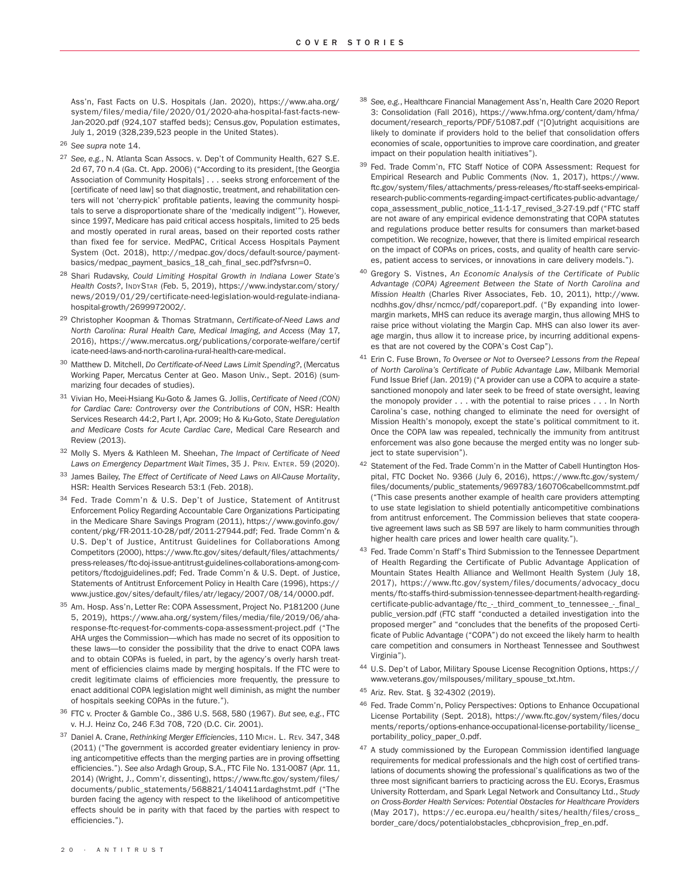Ass'n, Fast Facts on U.S. Hospitals (Jan. 2020), https://www.aha.org/ system/files/media/file/2020/01/2020-aha-hospital-fast-facts-new-Jan-2020.pdf (924,107 staffed beds); Census.gov, Population estimates, July 1, 2019 (328,239,523 people in the United States).

<sup>26</sup> *See supra* note 14.

- <sup>27</sup> *See, e.g.*, N. Atlanta Scan Assocs. v. Dep't of Community Health, 627 S.E. 2d 67, 70 n.4 (Ga. Ct. App. 2006) ("According to its president, [the Georgia Association of Community Hospitals] . . . seeks strong enforcement of the [certificate of need law] so that diagnostic, treatment, and rehabilitation centers will not 'cherry-pick' profitable patients, leaving the community hospitals to serve a disproportionate share of the 'medically indigent'"). However, since 1997, Medicare has paid critical access hospitals, limited to 25 beds and mostly operated in rural areas, based on their reported costs rather than fixed fee for service. MedPAC, Critical Access Hospitals Payment System (Oct. 2018), http://medpac.gov/docs/default-source/paymentbasics/medpac\_payment\_basics\_18\_cah\_final\_sec.pdf?sfvrsn=0.
- <sup>28</sup> Shari Rudavsky, *Could Limiting Hospital Growth in Indiana Lower State's Health Costs?*, INDYSTAR (Feb. 5, 2019), https://www.indystar.com/story/ news/2019/01/29/certificate-need-legislation-would-regulate-indianahospital-growth/2699972002/.
- <sup>29</sup> Christopher Koopman & Thomas Stratmann, *Certificate-of-Need Laws and North Carolina: Rural Health Care, Medical Imaging, and Access* (May 17, 2016), https://www.mercatus.org/publications/corporate-welfare/certif icate-need-laws-and-north-carolina-rural-health-care-medical.
- <sup>30</sup> Matthew D. Mitchell, *Do Certificate-of-Need Laws Limit Spending?*, (Mercatus Working Paper, Mercatus Center at Geo. Mason Univ., Sept. 2016) (summarizing four decades of studies).
- <sup>31</sup> Vivian Ho, Meei-Hsiang Ku-Goto & James G. Jollis, *Certificate of Need (CON) for Cardiac Care: Controversy over the Contributions of CON*, HSR: Health Services Research 44:2, Part I, Apr. 2009; Ho & Ku-Goto, *State Deregulation and Medicare Costs for Acute Cardiac Care*, Medical Care Research and Review (2013).
- <sup>32</sup> Molly S. Myers & Kathleen M. Sheehan, *The Impact of Certificate of Need Laws on Emergency Department Wait Times*, 35 J. PRIV. ENTER. 59 (2020).
- <sup>33</sup> James Bailey, *The Effect of Certificate of Need Laws on All-Cause Mortality*, HSR: Health Services Research 53:1 (Feb. 2018).
- <sup>34</sup> Fed. Trade Comm'n & U.S. Dep't of Justice, Statement of Antitrust Enforcement Policy Regarding Accountable Care Organizations Participating in the Medicare Share Savings Program (2011), https://www.govinfo.gov/ content/pkg/FR-2011-10-28/pdf/2011-27944.pdf; Fed. Trade Comm'n & U.S. Dep't of Justice, Antitrust Guidelines for Collaborations Among Competitors (2000), https://www.ftc.gov/sites/default/files/attachments/ press-releases/ftc-doj-issue-antitrust-guidelines-collaborations-among-competitors/ftcdojguidelines.pdf; Fed. Trade Comm'n & U.S. Dept. of Justice, Statements of Antitrust Enforcement Policy in Health Care (1996), https:// www.justice.gov/sites/default/files/atr/legacy/2007/08/14/0000.pdf.
- <sup>35</sup> Am. Hosp. Ass'n, Letter Re: COPA Assessment, Project No. P181200 (June 5, 2019), https://www.aha.org/system/files/media/file/2019/06/aharesponse-ftc-request-for-comments-copa-assessment-project.pdf ("The AHA urges the Commission—which has made no secret of its opposition to these laws—to consider the possibility that the drive to enact COPA laws and to obtain COPAs is fueled, in part, by the agency's overly harsh treatment of efficiencies claims made by merging hospitals. If the FTC were to credit legitimate claims of efficiencies more frequently, the pressure to enact additional COPA legislation might well diminish, as might the number of hospitals seeking COPAs in the future.").
- <sup>36</sup> FTC v. Procter & Gamble Co., 386 U.S. 568, 580 (1967). *But see, e.g.*, FTC v. H.J. Heinz Co, 246 F.3d 708, 720 (D.C. Cir. 2001).
- <sup>37</sup> Daniel A. Crane, *Rethinking Merger Efficiencies*, 110 MICH. L. REV. 347, 348 (2011) ("The government is accorded greater evidentiary leniency in proving anticompetitive effects than the merging parties are in proving offsetting efficiencies."). *See also* Ardagh Group, S.A., FTC File No. 131-0087 (Apr. 11, 2014) (Wright, J., Comm'r, dissenting), https://www.ftc.gov/system/files/ documents/public\_statements/568821/140411ardaghstmt.pdf ("The burden facing the agency with respect to the likelihood of anticompetitive effects should be in parity with that faced by the parties with respect to efficiencies.").
- <sup>38</sup> *See, e.g.*, Healthcare Financial Management Ass'n, Health Care 2020 Report 3: Consolidation (Fall 2016), https://www.hfma.org/content/dam/hfma/ document/research\_reports/PDF/51087.pdf ("[O]utright acquisitions are likely to dominate if providers hold to the belief that consolidation offers economies of scale, opportunities to improve care coordination, and greater impact on their population health initiatives").
- 39 Fed. Trade Comm'n, FTC Staff Notice of COPA Assessment: Request for Empirical Research and Public Comments (Nov. 1, 2017), https://www. ftc.gov/system/files/attachments/press-releases/ftc-staff-seeks-empiricalresearch-public-comments-regarding-impact-certificates-public-advantage/ copa\_assessment\_public\_notice\_11-1-17\_revised\_3-27-19.pdf ("FTC staff are not aware of any empirical evidence demonstrating that COPA statutes and regulations produce better results for consumers than market-based competition. We recognize, however, that there is limited empirical research on the impact of COPAs on prices, costs, and quality of health care services, patient access to services, or innovations in care delivery models.").
- <sup>40</sup> Gregory S. Vistnes, *An Economic Analysis of the Certificate of Public Advantage (COPA) Agreement Between the State of North Carolina and Mission Health* (Charles River Associates, Feb. 10, 2011), http://www. ncdhhs.gov/dhsr/ncmcc/pdf/copareport.pdf. ("By expanding into lowermargin markets, MHS can reduce its average margin, thus allowing MHS to raise price without violating the Margin Cap. MHS can also lower its average margin, thus allow it to increase price, by incurring additional expenses that are not covered by the COPA's Cost Cap").
- <sup>41</sup> Erin C. Fuse Brown, *To Oversee or Not to Oversee? Lessons from the Repeal of North Carolina's Certificate of Public Advantage Law*, Milbank Memorial Fund Issue Brief (Jan. 2019) ("A provider can use a COPA to acquire a statesanctioned monopoly and later seek to be freed of state oversight, leaving the monopoly provider . . . with the potential to raise prices . . . In North Carolina's case, nothing changed to eliminate the need for oversight of Mission Health's monopoly, except the state's political commitment to it. Once the COPA law was repealed, technically the immunity from antitrust enforcement was also gone because the merged entity was no longer subject to state supervision").
- 42 Statement of the Fed. Trade Comm'n in the Matter of Cabell Huntington Hospital, FTC Docket No. 9366 (July 6, 2016), https://www.ftc.gov/system/ files/documents/public\_statements/969783/160706cabellcommstmt.pdf ("This case presents another example of health care providers attempting to use state legislation to shield potentially anticompetitive combinations from antitrust enforcement. The Commission believes that state cooperative agreement laws such as SB 597 are likely to harm communities through higher health care prices and lower health care quality.").
- 43 Fed. Trade Comm'n Staff's Third Submission to the Tennessee Department of Health Regarding the Certificate of Public Advantage Application of Mountain States Health Alliance and Wellmont Health System (July 18, 2017), https://www.ftc.gov/system/files/documents/advocacy\_docu ments/ftc-staffs-third-submission-tennessee-department-health-regardingcertificate-public-advantage/ftc\_-\_third\_comment\_to\_tennessee\_-\_final\_ public\_version.pdf (FTC staff "conducted a detailed investigation into the proposed merger" and "concludes that the benefits of the proposed Certificate of Public Advantage ("COPA") do not exceed the likely harm to health care competition and consumers in Northeast Tennessee and Southwest Virginia").
- <sup>44</sup> U.S. Dep't of Labor, Military Spouse License Recognition Options, https:// www.veterans.gov/milspouses/military\_spouse\_txt.htm.
- <sup>45</sup> Ariz. Rev. Stat. § 32-4302 (2019).
- 46 Fed. Trade Comm'n, Policy Perspectives: Options to Enhance Occupational License Portability (Sept. 2018), https://www.ftc.gov/system/files/docu ments/reports/options-enhance-occupational-license-portability/license\_ portability\_policy\_paper\_0.pdf.
- $47$  A study commissioned by the European Commission identified language requirements for medical professionals and the high cost of certified translations of documents showing the professional's qualifications as two of the three most significant barriers to practicing across the EU. Ecorys, Erasmus University Rotterdam, and Spark Legal Network and Consultancy Ltd., *Study on Cross-Border Health Services: Potential Obstacles for Healthcare Providers* (May 2017), https://ec.europa.eu/health/sites/health/files/cross\_ border\_care/docs/potentialobstacles\_cbhcprovision\_frep\_en.pdf.